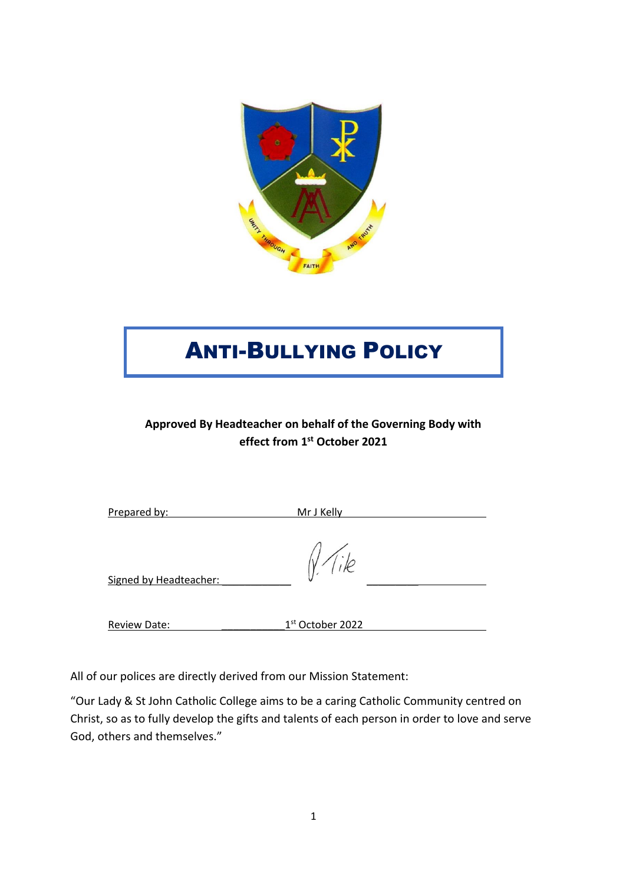

# ANTI-BULLYING POLICY

# **Approved By Headteacher on behalf of the Governing Body with effect from 1 st October 2021**

| Prepared by: | Mr J Kelly |
|--------------|------------|
|              |            |

Signed by Headteacher:

Review Date: 1<sup>st</sup> October 2022

All of our polices are directly derived from our Mission Statement:

"Our Lady & St John Catholic College aims to be a caring Catholic Community centred on Christ, so as to fully develop the gifts and talents of each person in order to love and serve God, others and themselves."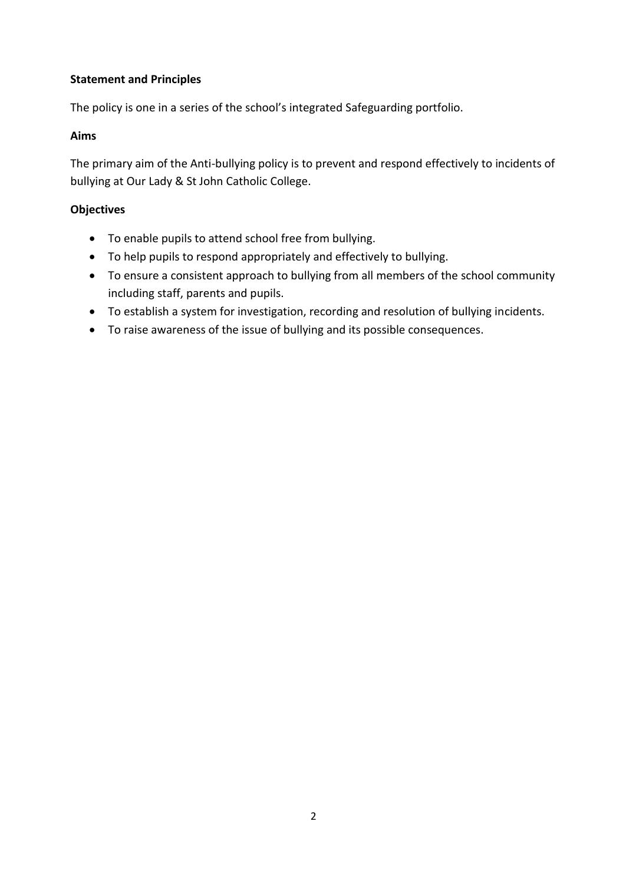#### **Statement and Principles**

The policy is one in a series of the school's integrated Safeguarding portfolio.

#### **Aims**

The primary aim of the Anti-bullying policy is to prevent and respond effectively to incidents of bullying at Our Lady & St John Catholic College.

#### **Objectives**

- To enable pupils to attend school free from bullying.
- To help pupils to respond appropriately and effectively to bullying.
- To ensure a consistent approach to bullying from all members of the school community including staff, parents and pupils.
- To establish a system for investigation, recording and resolution of bullying incidents.
- To raise awareness of the issue of bullying and its possible consequences.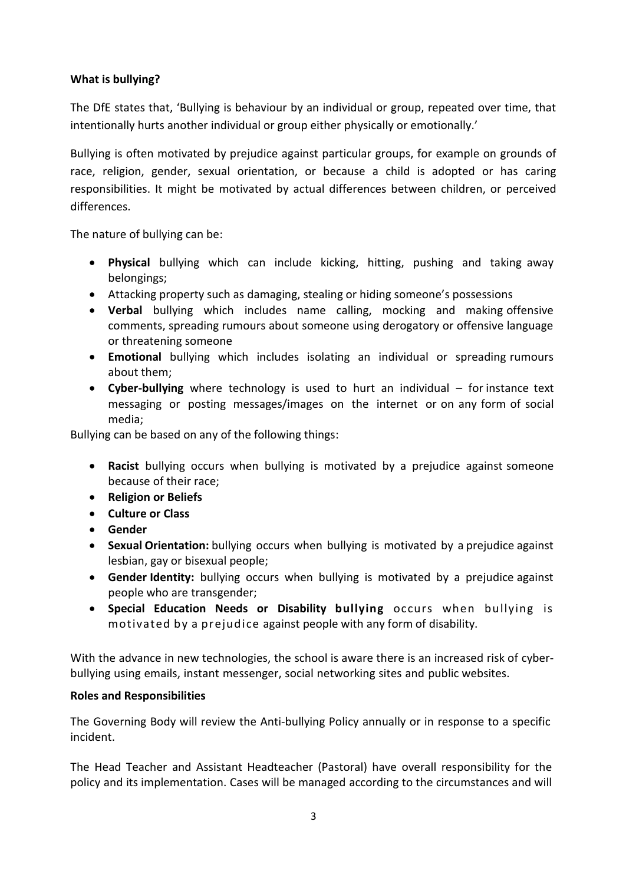#### **What is bullying?**

The DfE states that, 'Bullying is behaviour by an individual or group, repeated over time, that intentionally hurts another individual or group either physically or emotionally.'

Bullying is often motivated by prejudice against particular groups, for example on grounds of race, religion, gender, sexual orientation, or because a child is adopted or has caring responsibilities. It might be motivated by actual differences between children, or perceived differences.

The nature of bullying can be:

- **Physical** bullying which can include kicking, hitting, pushing and taking away belongings;
- Attacking property such as damaging, stealing or hiding someone's possessions
- **Verbal** bullying which includes name calling, mocking and making offensive comments, spreading rumours about someone using derogatory or offensive language or threatening someone
- **Emotional** bullying which includes isolating an individual or spreading rumours about them;
- **Cyber-bullying** where technology is used to hurt an individual for instance text messaging or posting messages/images on the internet or on any form of social media;

Bullying can be based on any of the following things:

- **Racist** bullying occurs when bullying is motivated by a prejudice against someone because of their race;
- **Religion or Beliefs**
- **Culture or Class**
- **Gender**
- **Sexual Orientation:** bullying occurs when bullying is motivated by a prejudice against lesbian, gay or bisexual people;
- **Gender Identity:** bullying occurs when bullying is motivated by a prejudice against people who are transgender;
- **Special Education Needs or Disability bullying** occurs when bullying is motivated by a prejudice against people with any form of disability.

With the advance in new technologies, the school is aware there is an increased risk of cyberbullying using emails, instant messenger, social networking sites and public websites.

#### **Roles and Responsibilities**

The Governing Body will review the Anti-bullying Policy annually or in response to a specific incident.

The Head Teacher and Assistant Headteacher (Pastoral) have overall responsibility for the policy and its implementation. Cases will be managed according to the circumstances and will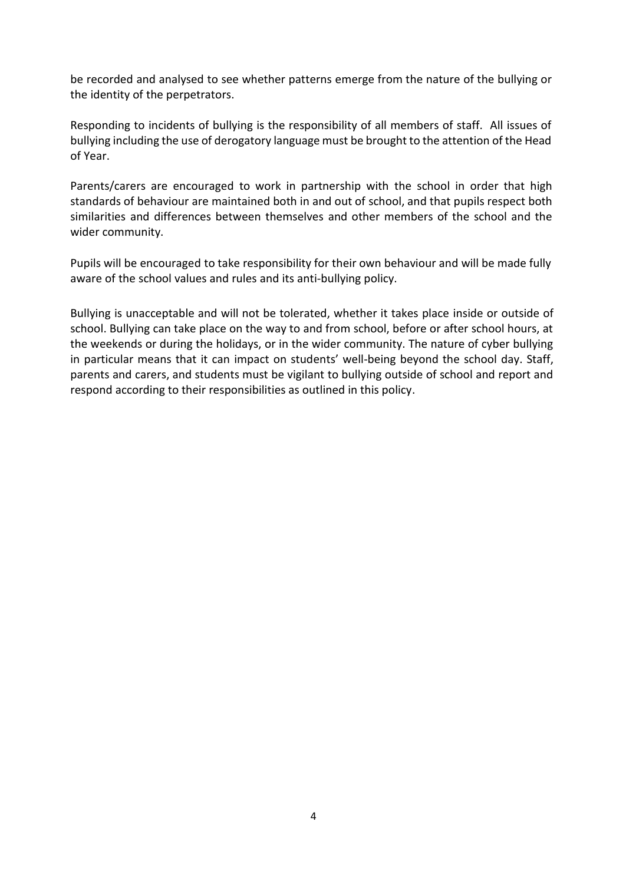be recorded and analysed to see whether patterns emerge from the nature of the bullying or the identity of the perpetrators.

Responding to incidents of bullying is the responsibility of all members of staff. All issues of bullying including the use of derogatory language must be brought to the attention of the Head of Year.

Parents/carers are encouraged to work in partnership with the school in order that high standards of behaviour are maintained both in and out of school, and that pupils respect both similarities and differences between themselves and other members of the school and the wider community.

Pupils will be encouraged to take responsibility for their own behaviour and will be made fully aware of the school values and rules and its anti-bullying policy.

Bullying is unacceptable and will not be tolerated, whether it takes place inside or outside of school. Bullying can take place on the way to and from school, before or after school hours, at the weekends or during the holidays, or in the wider community. The nature of cyber bullying in particular means that it can impact on students' well-being beyond the school day. Staff, parents and carers, and students must be vigilant to bullying outside of school and report and respond according to their responsibilities as outlined in this policy.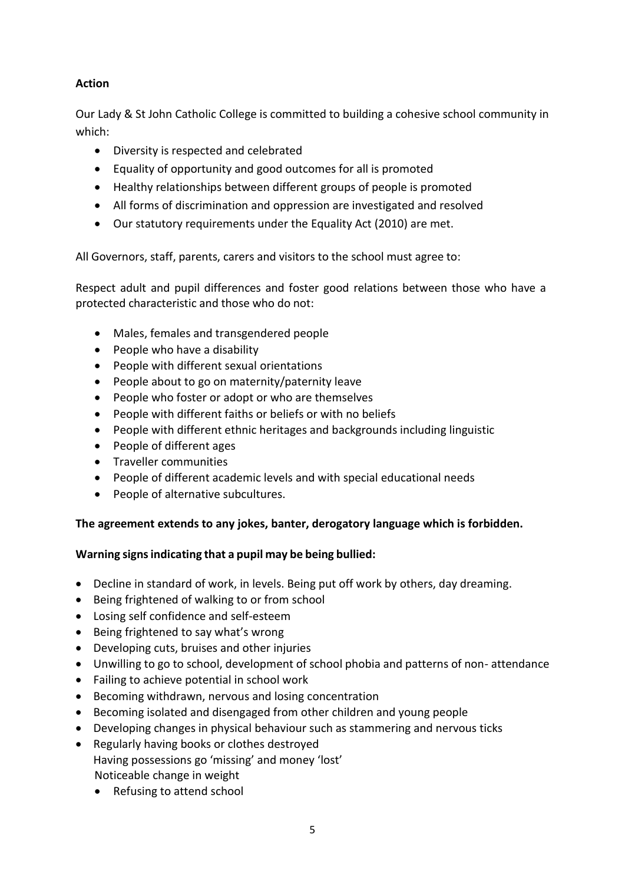# **Action**

Our Lady & St John Catholic College is committed to building a cohesive school community in which:

- Diversity is respected and celebrated
- Equality of opportunity and good outcomes for all is promoted
- Healthy relationships between different groups of people is promoted
- All forms of discrimination and oppression are investigated and resolved
- Our statutory requirements under the Equality Act (2010) are met.

All Governors, staff, parents, carers and visitors to the school must agree to:

Respect adult and pupil differences and foster good relations between those who have a protected characteristic and those who do not:

- Males, females and transgendered people
- People who have a disability
- People with different sexual orientations
- People about to go on maternity/paternity leave
- People who foster or adopt or who are themselves
- People with different faiths or beliefs or with no beliefs
- People with different ethnic heritages and backgrounds including linguistic
- People of different ages
- Traveller communities
- People of different academic levels and with special educational needs
- People of alternative subcultures.

## **The agreement extends to any jokes, banter, derogatory language which is forbidden.**

## **Warning signsindicating that a pupil may be being bullied:**

- Decline in standard of work, in levels. Being put off work by others, day dreaming.
- Being frightened of walking to or from school
- Losing self confidence and self-esteem
- Being frightened to say what's wrong
- Developing cuts, bruises and other injuries
- Unwilling to go to school, development of school phobia and patterns of non- attendance
- Failing to achieve potential in school work
- Becoming withdrawn, nervous and losing concentration
- Becoming isolated and disengaged from other children and young people
- Developing changes in physical behaviour such as stammering and nervous ticks
- Regularly having books or clothes destroyed Having possessions go 'missing' and money 'lost' Noticeable change in weight
	- Refusing to attend school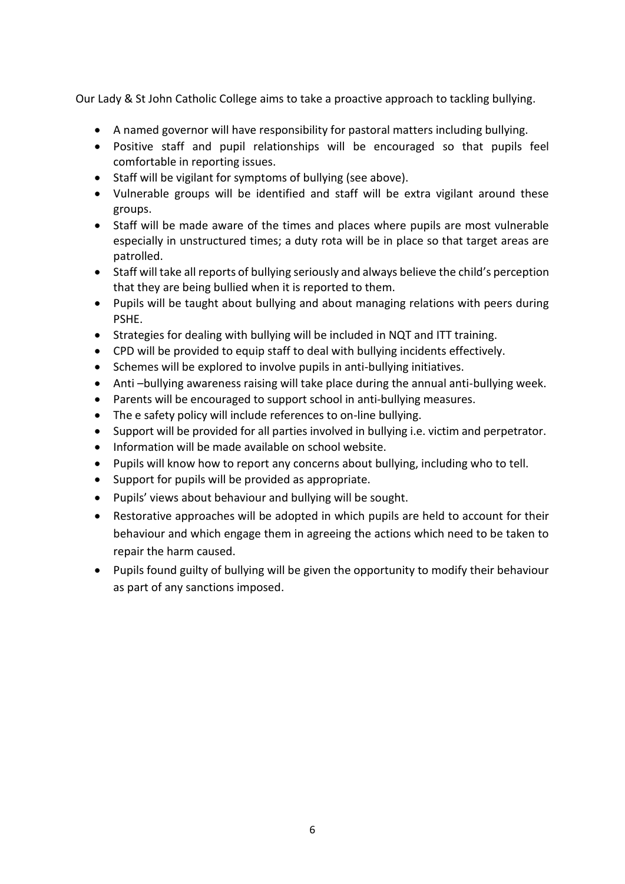Our Lady & St John Catholic College aims to take a proactive approach to tackling bullying.

- A named governor will have responsibility for pastoral matters including bullying.
- Positive staff and pupil relationships will be encouraged so that pupils feel comfortable in reporting issues.
- Staff will be vigilant for symptoms of bullying (see above).
- Vulnerable groups will be identified and staff will be extra vigilant around these groups.
- Staff will be made aware of the times and places where pupils are most vulnerable especially in unstructured times; a duty rota will be in place so that target areas are patrolled.
- Staff will take all reports of bullying seriously and always believe the child's perception that they are being bullied when it is reported to them.
- Pupils will be taught about bullying and about managing relations with peers during PSHE.
- Strategies for dealing with bullying will be included in NQT and ITT training.
- CPD will be provided to equip staff to deal with bullying incidents effectively.
- Schemes will be explored to involve pupils in anti-bullying initiatives.
- Anti –bullying awareness raising will take place during the annual anti-bullying week.
- Parents will be encouraged to support school in anti-bullying measures.
- The e safety policy will include references to on-line bullying.
- Support will be provided for all parties involved in bullying i.e. victim and perpetrator.
- Information will be made available on school website.
- Pupils will know how to report any concerns about bullying, including who to tell.
- Support for pupils will be provided as appropriate.
- Pupils' views about behaviour and bullying will be sought.
- Restorative approaches will be adopted in which pupils are held to account for their behaviour and which engage them in agreeing the actions which need to be taken to repair the harm caused.
- Pupils found guilty of bullying will be given the opportunity to modify their behaviour as part of any sanctions imposed.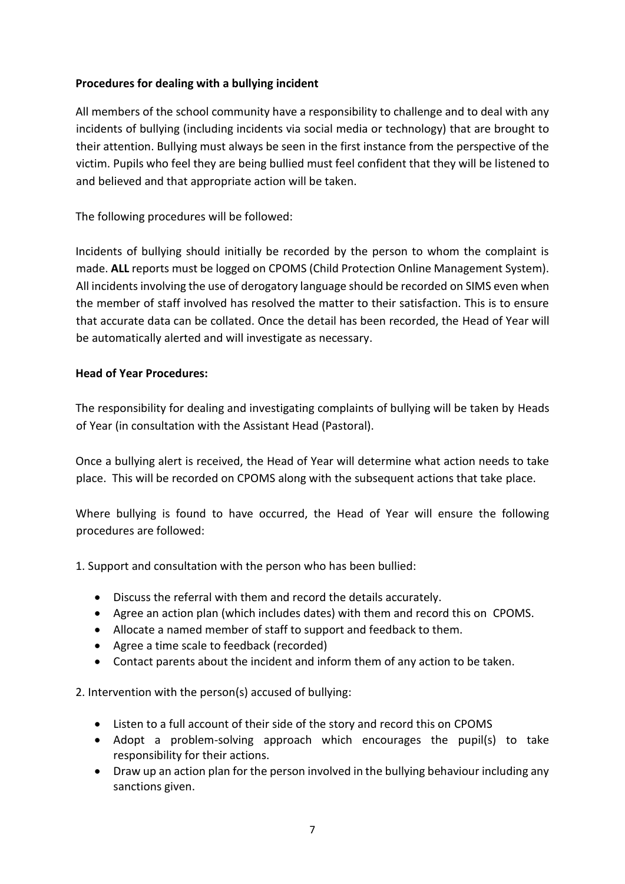#### **Procedures for dealing with a bullying incident**

All members of the school community have a responsibility to challenge and to deal with any incidents of bullying (including incidents via social media or technology) that are brought to their attention. Bullying must always be seen in the first instance from the perspective of the victim. Pupils who feel they are being bullied must feel confident that they will be listened to and believed and that appropriate action will be taken.

The following procedures will be followed:

Incidents of bullying should initially be recorded by the person to whom the complaint is made. **ALL** reports must be logged on CPOMS (Child Protection Online Management System). All incidents involving the use of derogatory language should be recorded on SIMS even when the member of staff involved has resolved the matter to their satisfaction. This is to ensure that accurate data can be collated. Once the detail has been recorded, the Head of Year will be automatically alerted and will investigate as necessary.

#### **Head of Year Procedures:**

The responsibility for dealing and investigating complaints of bullying will be taken by Heads of Year (in consultation with the Assistant Head (Pastoral).

Once a bullying alert is received, the Head of Year will determine what action needs to take place. This will be recorded on CPOMS along with the subsequent actions that take place.

Where bullying is found to have occurred, the Head of Year will ensure the following procedures are followed:

1. Support and consultation with the person who has been bullied:

- Discuss the referral with them and record the details accurately.
- Agree an action plan (which includes dates) with them and record this on CPOMS.
- Allocate a named member of staff to support and feedback to them.
- Agree a time scale to feedback (recorded)
- Contact parents about the incident and inform them of any action to be taken.

2. Intervention with the person(s) accused of bullying:

- Listen to a full account of their side of the story and record this on CPOMS
- Adopt a problem-solving approach which encourages the pupil(s) to take responsibility for their actions.
- Draw up an action plan for the person involved in the bullying behaviour including any sanctions given.